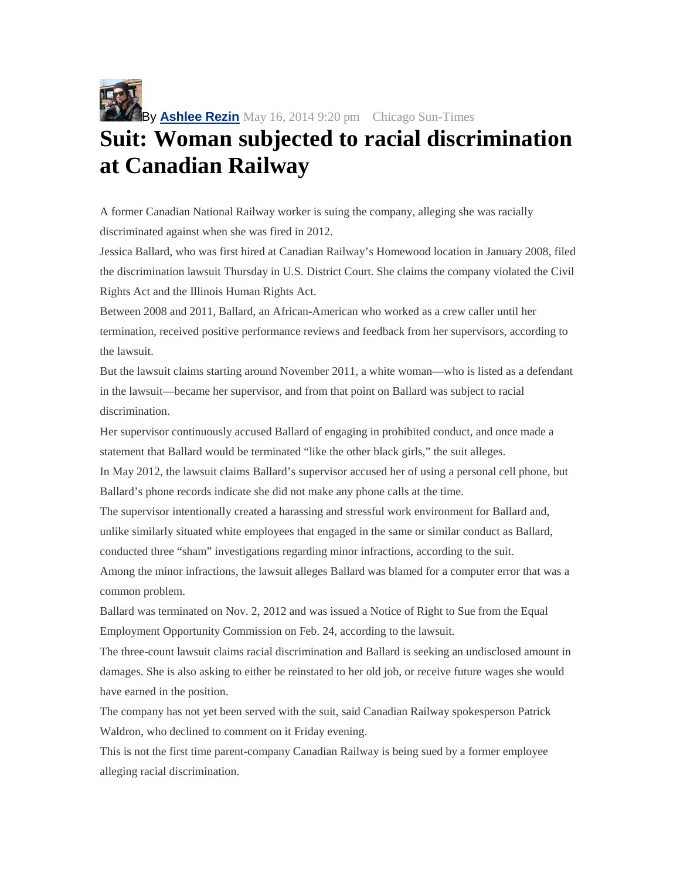

## **Suit: Woman subjected to racial discrimination at Canadian Railway**

A former Canadian National Railway worker is suing the company, alleging she was racially discriminated against when she was fired in 2012.

Jessica Ballard, who was first hired at Canadian Railway's Homewood location in January 2008, filed the discrimination lawsuit Thursday in U.S. District Court. She claims the company violated the Civil Rights Act and the Illinois Human Rights Act.

Between 2008 and 2011, Ballard, an African-American who worked as a crew caller until her termination, received positive performance reviews and feedback from her supervisors, according to the lawsuit.

But the lawsuit claims starting around November 2011, a white woman—who is listed as a defendant in the lawsuit—became her supervisor, and from that point on Ballard was subject to racial discrimination.

Her supervisor continuously accused Ballard of engaging in prohibited conduct, and once made a statement that Ballard would be terminated "like the other black girls," the suit alleges.

In May 2012, the lawsuit claims Ballard's supervisor accused her of using a personal cell phone, but Ballard's phone records indicate she did not make any phone calls at the time.

The supervisor intentionally created a harassing and stressful work environment for Ballard and, unlike similarly situated white employees that engaged in the same or similar conduct as Ballard, conducted three "sham" investigations regarding minor infractions, according to the suit.

Among the minor infractions, the lawsuit alleges Ballard was blamed for a computer error that was a common problem.

Ballard was terminated on Nov. 2, 2012 and was issued a Notice of Right to Sue from the Equal Employment Opportunity Commission on Feb. 24, according to the lawsuit.

The three-count lawsuit claims racial discrimination and Ballard is seeking an undisclosed amount in damages. She is also asking to either be reinstated to her old job, or receive future wages she would have earned in the position.

The company has not yet been served with the suit, said Canadian Railway spokesperson Patrick Waldron, who declined to comment on it Friday evening.

This is not the first time parent-company Canadian Railway is being sued by a former employee alleging racial discrimination.